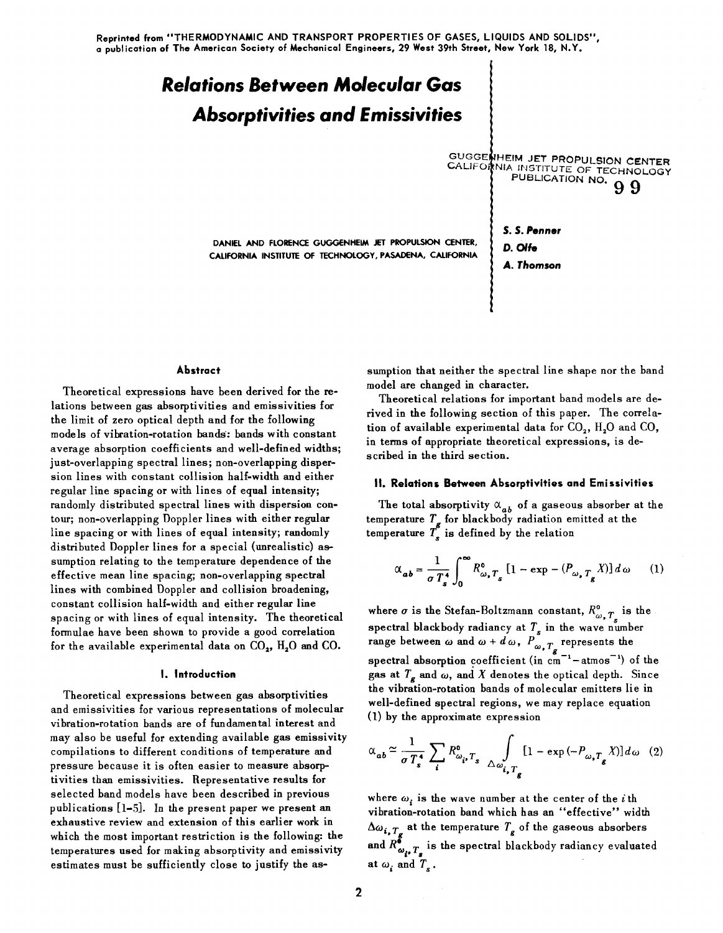# *Relations* **Between Molecular Gas**  *Absorptivities* **and** *E* **missivities**

DANIEL AND FLORENCE GUGGENHEIM .JET PROPULSION CENTER, CALIFORNIA INSTITUTE OF TECHNOLOGY, PASADENA, CALIFORNIA

GUGGENHEIM JET PROPULSION CENTER CALIFO KNIA INSTITUTE OF TECHNOLOGY

> S. S. Penne, D. Olfe

A. Thomson

Abstract

Theoretical expressions have been derived for the relations between gas absorptivities and emissivities for the limit of zero optical depth and for the following models of vibration-rotation bands: bands with constant average absorption coefficients and well-defined widths; just-overlapping spectral lines; non-overlapping dispersion lines with constant collision half-width and either regular line spacing or with lines of equal intensity; randomly distributed spectral lines with dispersion contom; non-overlapping Doppler lines with either regular line spacing or with lines of equal intensity; randomly distributed Doppler lines for a special {unrealistic} assumption relating to the temperature dependence of the effective mean line spacing; non-overlapping spectral lines with combined Doppler and collision broadening, constant collision half-width and either regular line spacing or with lines of equal intensity. The theoretical formulae have been shown to provide a good correlation for the available experimental data on  $CO<sub>2</sub>$ , H<sub>2</sub>O and CO.

## I. Introduction

Theoretical expressions between gas absorptivities and emissivities for various representations of molecular vibration-rotation bands are of fundamen tal interest and may also be useful for extending available gas emissivity compilations to different conditions of temperature and pressure because it is often easier to measure absorptivities than emissivities. Representative results for selected band models have been described in previous publications [1-5]. In the present paper we present an exhaustive review and extension of this earlier work in which the most important restriction is the following: the temperatures used for making absorptivity and emissivity estimates must be sufficiently close to justify the assumption that neither the spectral line shape nor the band model are changed in character.

Theoretical relations for important band models are derived in the following section of this paper. The correlation of available experimental data for  $CO<sub>2</sub>$ , H<sub>2</sub>O and CO, in terms of appropriate theoretical expressions, is described in the third section.

# II. Relations Between Absorptivities and Emi ssivities

The total absorptivity  $\alpha_{ab}$  of a gaseous absorber at the temperature  $T_{\sigma}$  for blackbody radiation emitted at the temperature  $T_s$  is defined by the relation

$$
\alpha_{ab} = \frac{1}{\sigma T_s^4} \int_0^\infty R_{\omega, T_s}^0 \left[ 1 - \exp(-\left(P_{\omega, T_s} X\right)\right] d\omega \qquad (1)
$$

where  $\sigma$  is the Stefan-Boltzmann constant,  $R^{\circ}_{\omega, T}$  is the spectral blackbody radiancy at  $T<sub>s</sub>$  in the wave number range between  $\omega$  and  $\omega$  +  $d\,\omega$ ,  $P_{\omega, T_{\varphi}}$  represents the spectral absorption coefficient (in  $cm^{-1}$ -atmos<sup>-1</sup>) of the gas at  $T_g$  and  $\omega$ , and  $X$  denotes the optical depth. Since the vibration-rotation bands of molecular emitters lie in well-defined spectral regions, we may replace equation (1) by the approximate expression

$$
\alpha_{ab} \simeq \frac{1}{\sigma T_s^4} \sum_i R_{\omega_i, T_s}^0 \int\limits_{\Delta \omega_{i, T_g}} [1 - \exp(-P_{\omega, T_g} X)] d\omega \quad (2)
$$

where  $\omega_i$  is the wave number at the center of the *i* th vibration-rotation band which has an "effective" width  $\Delta\omega_{i, T_a}$  at the temperature  $T_g$  of the gaseous absorbers and  $R^{\delta}_{\omega_i}$ ,  $T_s$  is the spectral blackbody radiancy evaluated at  $\omega_i$  and  $T_s$ .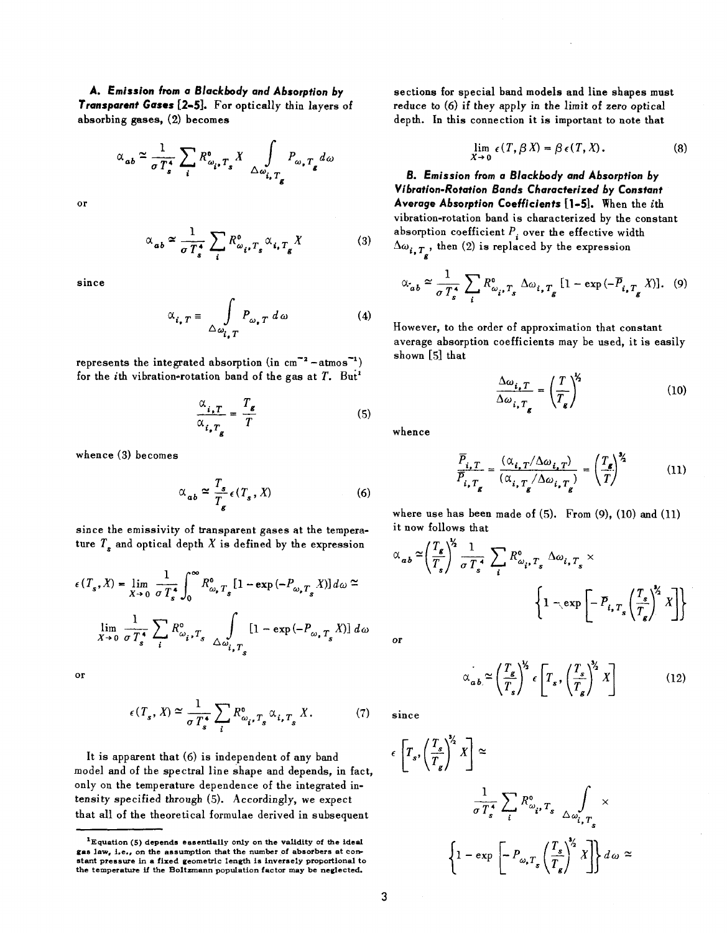**A. Emission from a** *B/aclcbody* **and Absorption** *by*  **Transparent Gases [2.5].** For optically thin layers of absorbing gases, (2) becomes

$$
\alpha_{ab} \simeq \frac{1}{\sigma T_s^4} \sum_i R_{\omega_i, T_s}^0 X \int_{\Delta \omega_{i, T_g}} P_{\omega, T_g} d\omega
$$

or

$$
\alpha_{ab} \approx \frac{1}{\sigma T_s^4} \sum_i R_{\omega_i, T_s}^0 \alpha_{i, T_g} X \tag{3}
$$

since

$$
\alpha_{i,T} = \int_{\Delta \omega_{i,T}} P_{\omega,T} d\omega \qquad (4)
$$

represents the integrated absorption (in  $cm^{-2}$  -atmos<sup>-1</sup>) for the *i*th vibration-rotation band of the gas at  $T$ . But<sup>1</sup>

$$
\frac{\alpha_{i,T}}{\alpha_{i,T_g}} = \frac{T_g}{T}
$$
 (5)

whence (3) becomes

$$
\alpha_{ab} \simeq \frac{T_s}{T_g} \epsilon(T_s, X) \tag{6}
$$

since the emissivity of transparent gases at the temperature  $T_s$  and optical depth  $X$  is defined by the expression

$$
\epsilon(T_s, X) = \lim_{X \to 0} \frac{1}{\sigma T_s^*} \int_0^\infty R_{\omega_s}^0 T_s [1 - \exp(-P_{\omega_s T_s} X)] d\omega \approx
$$
  

$$
\lim_{X \to 0} \frac{1}{\sigma T_s^*} \sum_i R_{\omega_i, T_s}^0 \int_{\Delta \omega_{i, T_s}} [1 - \exp(-P_{\omega_s T_s} X)] d\omega
$$

or

$$
\epsilon(T_s, X) \simeq \frac{1}{\sigma T_s^4} \sum_i R_{\omega_i, T_s}^0 \alpha_{i, T_s} X. \tag{7}
$$

It is apparent that (6) is independent of any band model and of the spectral line shape and depends, in fact, only on the temperature dependence of the integrated intensity specified through (5). Accordingly, we expect that all of the theoretical formulae derived in subsequent

sections for special band models and line shapes must reduce to (6) if they apply in the limit of zero optical depth. In this connection it is important to note that

$$
\lim_{X \to 0} \epsilon(T, \beta X) = \beta \epsilon(T, X).
$$
 (8)

**B. Emission from a** *B/aclcbody* **and Absorption** *by Vibration-Rotation* **Bands Characterized** *by* **Constant**  Average Absorption Coefficients [1-5]. When the *i*th vibration-rotation band is characterized by the constant absorption coefficient  $P_i$  over the effective width  $\Delta\omega_{i, T_s}$ , then (2) is replaced by the expression

$$
\alpha_{ab} \approx \frac{1}{\sigma T_s^4} \sum_i R_{\omega_i, T_s}^0 \Delta \omega_{i, T_g} [1 - \exp(-\overline{P}_{i, T_g} X)].
$$
 (9)

However, to the order of approximation that constant average absorption coefficients may be used, it is easily shown [5] that

$$
\frac{\Delta \omega_{i, T}}{\Delta \omega_{i, T_g}} = \left(\frac{T}{T_g}\right)^{\frac{1}{2}}
$$
\n(10)

whence

$$
\frac{\overline{P}_{i,T}}{\overline{P}_{i,T_g}} = \frac{(\alpha_{i,T}/\Delta\omega_{i,T})}{(\alpha_{i,T_g}/\Delta\omega_{i,T_g})} = \left(\frac{T_g}{T}\right)^{\frac{3}{2}}
$$
(11)

where use has been made of (5). From (9), (10) and (11) it now follows that

$$
\alpha_{ab} \approx \left(\frac{T_g}{T_s}\right)^{\frac{1}{2}} \frac{1}{\sigma T_s^4} \sum_i R_{\omega_i, T_s}^0 \Delta \omega_{i, T_s} \times \left\{1 - \exp\left[-\overline{P}_{i, T_s} \left(\frac{T_s}{T_s}\right)^{\frac{1}{2}} X\right]\right\}
$$

or

$$
\alpha_{ab} \simeq \left(\frac{T_g}{T_s}\right)^{\frac{1}{2}} \epsilon \left[T_s, \left(\frac{T_s}{T_g}\right)^{\frac{3}{2}} X\right]
$$
 (12)

SInce

$$
\epsilon \left[ T_s, \left( \frac{T_s}{T_g} \right)^{\frac{1}{2}} X \right] \simeq
$$
\n
$$
\frac{1}{\sigma T_s^4} \sum_i R_{\omega_i, T_s}^0 \int_{\Delta \omega_{i, T_s}} \times
$$
\n
$$
\left\{ 1 - \exp \left[ -P_{\omega_s T_s} \left( \frac{T_s}{T_s} \right)^{\frac{1}{2}} X \right] \right\} d\omega \simeq
$$

<sup>&#</sup>x27;Equation (5) depends essentially only on the validity of the ideal gas law, i.e., on the assumption that the number of absorbers at constant pressure in a fixed geometric length is inversely proportional to the temperature if the Boltzmann population factor may be neglected.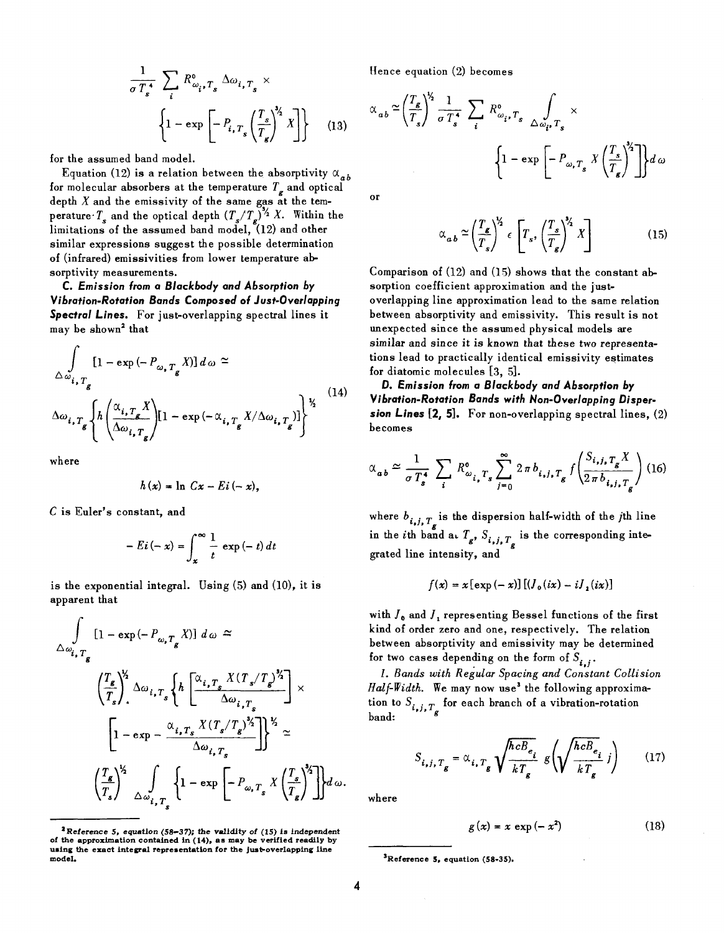$$
\frac{1}{\sigma T_s^*} \sum_i R_{\omega_i, T_s}^0 \Delta \omega_{i, T_s} \times \left\{ 1 - \exp \left[ -P_{i, T_s} \left( \frac{T_s}{T_s} \right)^{\gamma} X \right] \right\} \tag{13}
$$

for the assumed band model.

Equation (12) is a relation between the absorptivity  $\alpha_{ab}$ for molecular absorbers at the temperature  $T<sub>e</sub>$  and optical depth *X* and the emissivity of the same gas at the temperature  $T<sub>s</sub>$  and the optical depth  $(T<sub>s</sub>/T<sub>s</sub>)<sup>3/2</sup> X$ . Within the limitations of the assumed band model, (12) and other similar expressions suggest the possible determination of (infrared) emissivities from lower temperature absorptivity measurements.

C. *Emission lrom* a *Blackbocly ancl Absorption by Vibration-Rotation Bancls* Composecl *01 Just.Over/apping Spectral* Lines. For just-overlapping spectral lines it may be shown<sup>2</sup> that

$$
\int_{\Delta\omega_{i,T_g}} [1 - \exp(-P_{\omega,T_g}X)] d\omega \approx
$$
\n
$$
\Delta\omega_{i,T_g} \left\{ h \left( \frac{\alpha_{i,T_g}X}{\Delta\omega_{i,T_g}} \right) [1 - \exp(-\alpha_{i,T_g}X/\Delta\omega_{i,T_g})] \right\}^{\frac{1}{2}} \tag{14}
$$

where

$$
h(x) = \ln Cx - Ei(-x),
$$

C is Euler's constant, and

$$
- E i(-x) = \int_{x}^{\infty} \frac{1}{t} \exp(-t) dt
$$

is the exponential integral. Using (5) and (10), it is apparent that

$$
\int_{\Delta\omega_{i,T_g}} [1 - \exp(-P_{\omega,T_g} X)] d\omega \approx
$$
\n
$$
\left(\frac{T_g}{T_s}\right)^{\frac{1}{2}} \Delta\omega_{i,T_s} \left\{ h \left[\frac{\alpha_{i,T_s} X (T_s/T_g)^{\frac{1}{2}}}{\Delta\omega_{i,T_s}}\right] \times \left[1 - \exp(-\frac{\alpha_{i,T_s} X (T_s/T_g)^{\frac{1}{2}}}{\Delta\omega_{i,T_s}})\right] \right\}^{\frac{1}{2}} \approx
$$
\n
$$
\left(\frac{T_g}{T_s}\right)^{\frac{1}{2}} \int_{\Delta\omega_{i,T_g}} \left\{1 - \exp\left[-P_{\omega,T_s} X \left(\frac{T_s}{T_s}\right)^{\frac{1}{2}}\right]\right\} d\omega.
$$

Hence equation (2) becomes

$$
\alpha_{ab} \simeq \left(\frac{T_g}{T_s}\right)^{\frac{1}{2}} \frac{1}{\sigma T_s^4} \sum_i R_{\omega_i, T_s}^0 \sum_{\Delta \omega_i, T_s} \times \left\{1 - \exp\left[-P_{\omega, T_s} X \left(\frac{T_s}{T_s}\right)^{\frac{1}{2}}\right]\right\} d\omega
$$

or

$$
\alpha_{ab} \simeq \left(\frac{T_{\mathcal{E}}}{T_{s}}\right)^{Y_{2}} \epsilon \left[T_{s}, \left(\frac{T_{s}}{T_{\mathcal{E}}}\right)^{Y_{2}} X\right]
$$
 (15)

Comparison of (12) and (15) shows that the constant absorption coefficient approximation and the justoverlapping line approximation lead to the same relation between absorptivity and emissivity. This result is not unexpected since the assumed physical models are similar and since it is known that these two representations lead to practically identical emissivity estimates for diatomic molecules [3, 5].

*D. Emission Irom* a *Blackbocly ancl Absorption by Vibration-Rotation Bancls with Non-Overlapping Disper. sion Lines* [2, 5]. For non-overlapping spectral lines, (2) becomes

$$
\alpha_{ab} \simeq \frac{1}{\sigma T_s^4} \sum_i R_{\omega_{i,\tau}}^0 \sum_{j=0}^{\infty} 2\pi b_{i,j,\tau_g} f\left(\frac{S_{i,j,\tau_g} X}{2\pi b_{i,j,\tau_g}}\right) (16)
$$

where  $b_{i,j,T_g}$  is the dispersion half-width of the *j*th line in the *i*th band a.  $T_g$ ,  $S_{i,j,T_g}$  is the corresponding integrated line intensity, and

$$
f(x) = x \left[ \exp\left(-x\right) \right] \left[ \left( J_0(ix) - i J_1(ix) \right] \right]
$$

with  $J_0$  and  $J_1$  representing Bessel functions of the first kind of order zero and one, respectively. The relation between absorptivity and emissivity may be determined<br>for two cases depending on the form of  $S_{i,i}$ .

1. Bands with Regular Spacing and Constant Collision  $Half-Width.$  We may now use<sup>3</sup> the following approximation to  $S_{i,j,T_{\alpha}}$  for each branch of a vibration-rotation band:

$$
S_{i,j,T_g} = \alpha_{i,T_g} \sqrt{\frac{\hbar c B_{e_i}}{kT_g}} g\left(\sqrt{\frac{\hbar c B_{e_i}}{kT_g}} j\right) \qquad (17)
$$

where

$$
g(x) = x \exp(-x^2) \tag{18}
$$

<sup>&</sup>lt;sup>2</sup>Reference 5, equation (58-37); the validity of (15) is independent of the approximation contained in (14), as may be verified readily by using the exact integral representation for the just-overlapping line model.

<sup>&#</sup>x27;Reference 5, equation (58.35).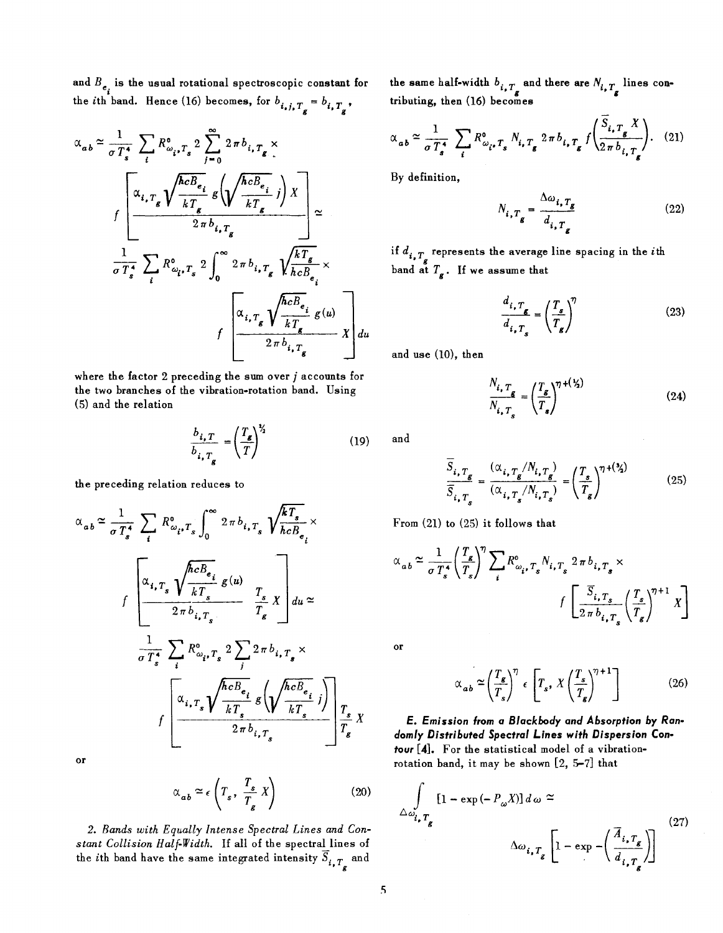and  $B_{e_i}$  is the usual rotational spectroscopic constant for the *i*th band. Hence (16) becomes, for  $b_{i,j,T_g} = b_{i,T_g}$ ,

$$
\alpha_{ab} \approx \frac{1}{\sigma T_s^4} \sum_{i} R_{\omega_i, T_s}^0 2 \sum_{j=0}^{\infty} 2 \pi b_{i, T_g} \times
$$
\n
$$
f \left[ \frac{\alpha_{i, T_g} \sqrt{\frac{hcB_{e_i}}{kT_g}} g \left( \sqrt{\frac{hcB_{e_i}}{kT_g}} j \right) X}{2 \pi b_{i, T_g}} \right] \approx
$$
\n
$$
\frac{1}{\sigma T_s^4} \sum_{i} R_{\omega_i, T_s}^0 2 \int_0^{\infty} 2 \pi b_{i, T_g} \sqrt{\frac{kT_g}{hcB_{e_i}}} \times
$$
\n
$$
f \left[ \frac{\alpha_{i, T_g} \sqrt{\frac{hcB_{e_i}}{kT_g}} g(u)}{2 \pi b_{i, T_g}} X \right] du
$$

where the factor 2 preceding the sum over j accounts for the two branches of the vibration-rotation band. Using (5) and the relation

$$
\frac{b_{i,T}}{b_{i,T_g}} = \left(\frac{T_g}{T}\right)^{\frac{1}{2}}
$$
\n(19)

the preceding relation reduces to

$$
\alpha_{ab} \approx \frac{1}{\sigma T_s^4} \sum_{i} R_{\omega_{i},T_s}^0 \int_0^{\infty} 2 \pi b_{i,T_s} \sqrt{\frac{kT_s}{hcB_{e_i}}} \times
$$
  

$$
f \left[ \frac{\alpha_{i,T_s} \sqrt{\frac{hcB_{e_i}}{kT_s}} g(u)}{2 \pi b_{i,T_s}} \frac{T_s}{T_s} \right] du \approx
$$
  

$$
\frac{1}{\sigma T_s^4} \sum_{i} R_{\omega_{i},T_s}^0 2 \sum_{j} 2 \pi b_{i,T_s} \times
$$
  

$$
f \left[ \frac{\alpha_{i,T_s} \sqrt{\frac{hcB_{e_i}}{kT_s}} g\left(\sqrt{\frac{hcB_{e_i}}{kT_s}}j\right)}{2 \pi b_{i,T_s}} \right] \frac{T_s}{T_s} X
$$

or

$$
\alpha_{ab} \approx \epsilon \left( T_s, \ \frac{T_s}{T_g} X \right) \tag{20}
$$

*2. Bands with Equally Intense Spectral Lines and Constant Collision Half-Width.* If all of the spectral lines of the *i*th band have the same integrated intensity  $\overline{S}_{i, T_g}$  and

the same half-width  $b_{i, T_a}$  and there are  $N_{i, T_a}$  lines contributing, then (16) becomes

$$
\alpha_{ab} \simeq \frac{1}{\sigma T_s^4} \sum_i R^0_{\omega_i, T_s} N_{i, T_g} 2 \pi b_{i, T_g} f \left( \frac{S_{i, T_g} X}{2 \pi b_{i, T_g}} \right). \tag{21}
$$

By definition,

$$
N_{i,T_g} = \frac{\Delta \omega_{i,T_g}}{d_{i,T_g}}
$$
 (22)

if  $d_{i, T_g}$  represents the average line spacing in the *i*th band at  $T_g$ . If we assume that

$$
\frac{d_{i,T_g}}{d_{i,T_g}} = \left(\frac{T_s}{T_g}\right)^{\eta} \tag{23}
$$

and use (10), then

$$
\frac{N_{i, T_g}}{N_{i, T_s}} = \left(\frac{T_g}{T_s}\right)^{\eta + (\frac{1}{2})}
$$
\n(24)

and

$$
\frac{S_{i, T_g}}{\overline{S}_{i, T_g}} = \frac{(\alpha_{i, T_g} / N_{i, T_g})}{(\alpha_{i, T_g} / N_{i, T_g})} = \left(\frac{T_s}{T_g}\right)^{\eta + (\frac{3}{2})}
$$
(25)

From (21) to (25) it follows that

$$
\alpha_{ab} \approx \frac{1}{\sigma T_s^*} \left(\frac{T_s}{T_s}\right)^{\eta} \sum_i R_{\omega_i, T_s}^0 N_{i, T_s} 2 \pi b_{i, T_s} \times
$$
  

$$
f \left[\frac{\overline{S}_{i, T_s}}{2 \pi b_{i, T_s}} \left(\frac{T_s}{T_s}\right)^{\eta + 1} X\right]
$$

or

$$
\alpha_{ab} \simeq \left(\frac{T_s}{T_s}\right)^{\eta} \epsilon \left[T_s, X \left(\frac{T_s}{T_s}\right)^{\eta+1}\right]
$$
 (26)

**E.** *Emission* **from a** *Blackbody and Absorption by Randomly Distributed Spectral Lines with Dispersion* **Contour** [4]. For the statistical model of a vibrationrotation band, it may be shown [2, 5-7] that

$$
\int_{\Delta \omega_{i, T_g}} [1 - \exp(-P_{\omega}X)] d\omega \approx
$$
\n
$$
\Delta \omega_{i, T_g} \left[ 1 - \exp(-\left(\frac{\overline{A}_{i, T_g}}{d_{i, T_g}}\right))\right] \tag{27}
$$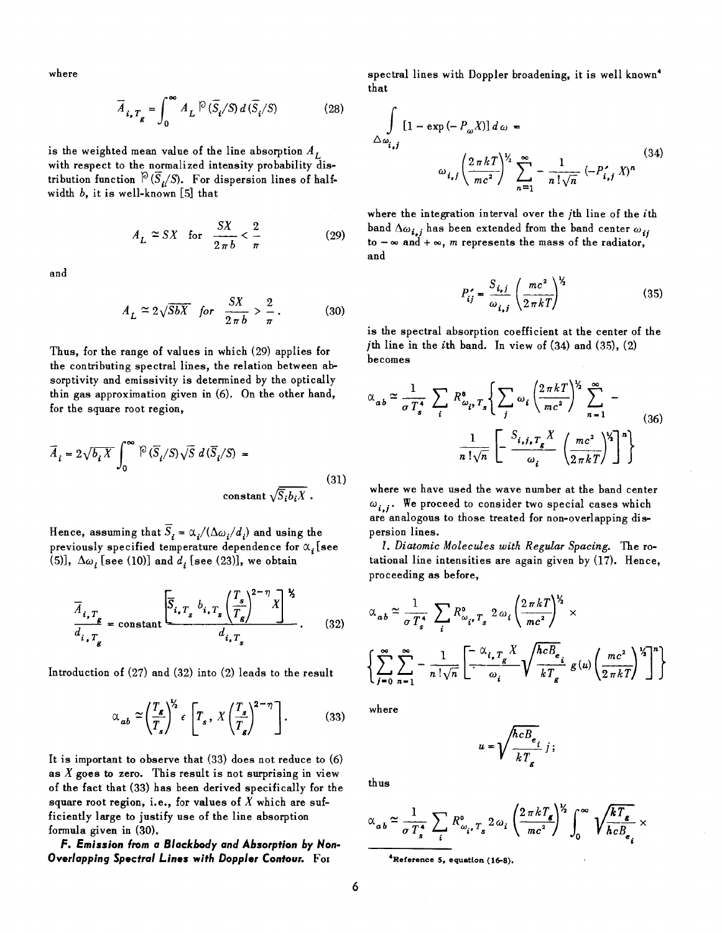where

$$
\overline{A}_{i, T_g} = \int_0^\infty A_L \, \mathcal{P} \left( \overline{S}_i / S \right) d \left( \overline{S}_i / S \right) \tag{28}
$$

is the weighted mean value of the line absorption  $A_L$ with respect to the normalized intensity probability distribution function  $\widehat{P}(\overline{S}_t/S)$ . For dispersion lines of halfwidth *b,* it is well-known [5] that

$$
A_L \simeq SX \quad \text{for} \quad \frac{SX}{2\pi b} < \frac{2}{\pi} \tag{29}
$$

and

$$
A_L \simeq 2\sqrt{5bX} \quad \text{for} \quad \frac{SX}{2\pi b} > \frac{2}{\pi} \,. \tag{30}
$$

Thus, for the range of values in which (29) applies for the contributing spectral lines, the relation between absorptivity and emissivity is determined by the optically thin gas approximation given in (6). On the other hand, for the square root region,

$$
\overline{A}_{i} = 2\sqrt{b_{i}X} \int_{0}^{\infty} \widehat{\left| \frac{\partial}{\partial z} \right|} \sqrt{S} d\left( \overline{S}_{i}/S \right) = \text{constant } \sqrt{\overline{S}_{i}b_{i}X} \tag{31}
$$

Hence, assuming that  $\overline{S}_t = \alpha_i/(\Delta \omega_i/d_i)$  and using the previously specified temperature dependence for  $\alpha$ . [see (5)],  $\Delta \omega$ , [see (10)] and *d*, [see (23)], we obtain

$$
\overline{A}_{i,T_g} = \text{constant} \frac{\left[\overline{S}_{i,T_g} b_{i,T_g} \left(\frac{T_s}{T_g}\right)^{2-\eta} X\right]^{\frac{1}{2}}}{d_{i,T_g}}.
$$
 (32)

Introduction of (27) and (32) into (2) leads to the result

$$
\alpha_{ab} \simeq \left(\frac{T_g}{T_s}\right)^{V_2} \epsilon \left[T_s, \, X \left(\frac{T_s}{T_g}\right)^{2-\eta}\right].\tag{33}
$$

It is important to observe that (33) does not reduce to (6) as  $X$  goes to zero. This result is not surprising in view of the fact that (33) has been derived specifically for the square root region, i.e., for values of  $X$  which are sufficiently large to justify use of the line absorption formula given in (30).

**F.** *Emission* **from a** *Blackbody and Absorption by* **Non-***Overlapping Spectral* **Lines** *with Doppler* **Contour.** FOI

spectral lines with Doppler broadening, it is well known4 that

$$
\int_{\Delta\omega_{i,j}} [1 - \exp(-P_{\omega}X)] d\omega =
$$
\n
$$
\omega_{i,j} \left(\frac{2\pi kT}{mc^2}\right)^{V_2} \sum_{n=1}^{\infty} -\frac{1}{n!\sqrt{n}} (-P'_{i,j}X)^n
$$
\n(34)

where the integration interval over the *j*th line of the *i*th band  $\Delta \omega_{i,j}$  has been extended from the band center  $\omega_{ji}$ to  $-\infty$  and  $+\infty$ , *m* represents the mass of the radiator, and

$$
P'_{ij} = \frac{S_{i,j}}{\omega_{i,j}} \left(\frac{mc^2}{2\pi kT}\right)^{\frac{1}{2}}
$$
 (35)

is the spectral absorption coefficient at the center of the *j*th line in the *i*th band. In view of  $(34)$  and  $(35)$ ,  $(2)$ becomes

$$
\alpha_{ab} \approx \frac{1}{\sigma T_s^4} \sum_i R_{\omega_i, T_s}^{\circ} \left\{ \sum_j \omega_i \left( \frac{2 \pi k T}{mc^2} \right)^{\frac{1}{2}} \sum_{n=1}^{\infty} - \frac{1}{n! \sqrt{n}} \left[ - \frac{S_{i,j,T_s} X}{\omega_i} \left( \frac{mc^2}{2 \pi k T} \right)^{\frac{1}{2}} \right]^n \right\}
$$
(36)

where we have used the wave number at the band center  $\omega_{i,j}$ . We proceed to consider two special cases which are analogous to those treated for non-overlapping dispersion lines.

*1. Diatomic Molecules with Regular Spacing.* The rotational line intensities are again given by (17). Hence, proceeding as before,

$$
\alpha_{ab} \simeq \frac{1}{\sigma T_s^4} \sum_i R_{\omega_i, T_s}^0 2 \omega_i \left( \frac{2 \pi k T}{mc^2} \right)^{\frac{1}{2}} \times
$$
  

$$
\left\{ \sum_{j=0}^{\infty} \sum_{n=1}^{\infty} -\frac{1}{n! \sqrt{n}} \left[ \frac{-\alpha_{i, T_g} X}{\omega_i} \sqrt{\frac{hcB_e}{kT_g}} g(u) \left( \frac{mc^2}{2 \pi k T} \right)^{\frac{1}{2}} \right] \right\}
$$

where

$$
u = \sqrt{\frac{hcB_e}{kT_g}} j;
$$

thus

$$
\alpha_{ab} \simeq \frac{1}{\sigma T_s^4} \sum_i R_{\omega_i, T_s}^0 2 \omega_i \left( \frac{2 \pi k T_s}{mc^2} \right)^{\frac{1}{2}} \int_0^\infty \sqrt{\frac{k T_s}{hc B_{e_i}}} \times
$$

4Referenee 5, equation (16-8).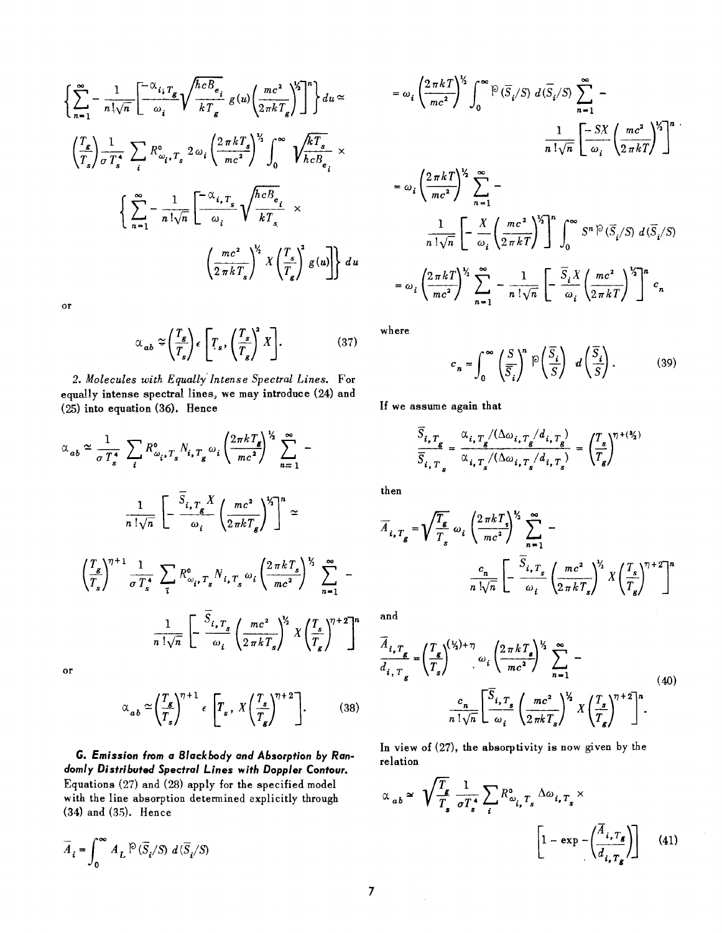$$
\left\{\sum_{n=1}^{\infty} -\frac{1}{n!\sqrt{n}} \left[\frac{-\alpha_{i_{1}}r_{g}}{\omega_{i}} \sqrt{\frac{hcB_{e_{i}}}{kT_{g}}} g(u) \left(\frac{mc^{2}}{2\pi kT_{g}}\right)^{1/2}\right]^{n}\right\} du \approx
$$
\n
$$
\left(\frac{r_{g}}{T_{s}}\right) \frac{1}{\sigma T_{s}^{4}} \sum_{i} R_{\omega_{i}}^{0} r_{s}^{2} 2\omega_{i} \left(\frac{2\pi kT_{s}}{mc^{2}}\right)^{1/2} \int_{0}^{\infty} \sqrt{\frac{kT_{s}}{hcB_{e_{i}}}} \times
$$
\n
$$
\left\{\sum_{n=1}^{\infty} -\frac{1}{n!\sqrt{n}} \left[\frac{-\alpha_{i_{1}}r_{s}}{\omega_{i}} \sqrt{\frac{hcB_{e_{i}}}{kT_{s}}} \times \frac{\left(\frac{mc^{2}}{2\pi kT_{s}}\right)^{1/2} X \left(\frac{T_{s}}{T_{g}}\right)^{2} g(u)\right\} du\right\}
$$

or

$$
\alpha_{ab} \approx \left(\frac{T_g}{T_s}\right) \epsilon \left[T_s, \left(\frac{T_s}{T_g}\right)^2 X\right].
$$
 (37)

*2. Molecules with Equally' Intense Spectral Lines.* For equally intense spectral lines, we may introduce (24) and (25) into equation (36). Hence

$$
\alpha_{ab} \approx \frac{1}{\sigma T_s^4} \sum_{i} R_{\omega_{i},T_s}^{\circ} N_{i,T_g} \omega_i \left( \frac{2\pi k T_g}{mc^2} \right)^{\frac{1}{2}} \sum_{n=1}^{\infty} -
$$
  

$$
\frac{1}{n! \sqrt{n}} \left[ -\frac{\overline{S}_{i,T_g} X}{\omega_i} \left( \frac{mc^2}{2\pi k T_g} \right)^{\frac{1}{2}} \right]^n \approx
$$
  

$$
\left( \frac{T_g}{T_s} \right)^{\gamma+1} \frac{1}{\sigma T_s^4} \sum_{i} R_{\omega_{i},T_s}^{\circ} N_{i,T_s} \omega_i \left( \frac{2\pi k T_s}{mc^2} \right)^{\frac{1}{2}} \sum_{n=1}^{\infty} -
$$
  

$$
\frac{1}{n! \sqrt{n}} \left[ -\frac{\overline{S}_{i,T_s}}{\omega_i} \left( \frac{mc^2}{2\pi k T_s} \right)^{\frac{1}{2}} X \left( \frac{T_s}{T_g} \right)^{\gamma+2} \right]^n
$$
or

$$
\alpha_{ab} \approx \left(\frac{T_s}{T_s}\right)^{\gamma+1} \epsilon \left[T_s, X\left(\frac{T_s}{T_s}\right)^{\gamma+2}\right].
$$
 (38)

G. *Emission from* a *Blackbody and Absorption by Randomly Distributed Spectral* Lines with *Doppler Contour.*  Equations (27) and (28) apply for the specified model with the line absorption determined explicitly through (34) and (35). Hence

$$
\overline{A}_i = \int_0^\infty A_L \, \mathsf{P} \, (\overline{S}_i / S) \, d \, (\overline{S}_i / S)
$$

$$
= \omega_i \left(\frac{2 \pi k T}{mc^2}\right)^{\frac{1}{2}} \int_0^\infty \widehat{P}(\overline{S}_i/S) d(\overline{S}_i/S) \sum_{n=1}^\infty -\frac{1}{n! \sqrt{n}} \left[\frac{-SX}{\omega_i} \left(\frac{mc^2}{2 \pi k T}\right)^{\frac{1}{2}}\right]^{n}.
$$
  

$$
= \omega_i \left(\frac{2 \pi k T}{mc^2}\right)^{\frac{1}{2}} \sum_{n=1}^\infty -\frac{1}{n! \sqrt{n}} \left[\frac{X}{2 \pi k T}\left(\frac{mc^2}{2 \pi k T}\right)^{\frac{1}{2}}\right]^{n} \int_0^\infty S^n \widehat{P}(\overline{S}_i/S) d(\overline{S}_i/S)
$$
  

$$
= \omega_i \left(\frac{2 \pi k T}{mc^2}\right)^{\frac{1}{2}} \sum_{n=1}^\infty -\frac{1}{n! \sqrt{n}} \left[\frac{\overline{S}_i X}{\omega_i} \left(\frac{mc^2}{2 \pi k T}\right)^{\frac{1}{2}}\right]^{n} c_n.
$$

where

$$
c_n = \int_0^\infty \left(\frac{S}{\overline{S}_i}\right)^n \mathbb{P}\left(\frac{\overline{S}_i}{S}\right) d\left(\frac{\overline{S}_i}{S}\right). \tag{39}
$$

If we assume again that

$$
\frac{\overline{S}_{i,T_g}}{\overline{S}_{i,T_g}} = \frac{\alpha_{i,T_g}/(\Delta \omega_{i,T_g}/d_{i,T_g})}{\alpha_{i,T_g}/(\Delta \omega_{i,T_g}/d_{i,T_g})} = \left(\frac{T_s}{T_g}\right)^{\eta + (\frac{N_s}{2})}
$$

then

then  
\n
$$
\overline{A}_{i, T_g} = \sqrt{\frac{T_g}{T_s}} \omega_i \left( \frac{2 \pi k T_s}{mc^2} \right)^{\frac{1}{2}} \sum_{n=1}^{\infty} - \frac{c_n}{n! \sqrt{n}} \left[ -\frac{\overline{S}_{i, T_g}}{\omega_i} \left( \frac{mc^2}{2 \pi k T_s} \right)^{\frac{1}{2}} X \left( \frac{T_s}{T_g} \right)^{\frac{n+2}{2}} \right]^n
$$

and

$$
\frac{\overline{A}_{i,T_g}}{d_{i,T_g}} = \left(\frac{T_g}{T_s}\right)^{(\frac{1}{2})+\eta} \omega_i \left(\frac{2\pi k T_s}{mc^2}\right)^{\frac{1}{2}} \sum_{n=1}^{\infty} -
$$
\n
$$
\frac{c_n}{n!\sqrt{n}} \left[\frac{\overline{S}_{i,T_g}}{\omega_i} \left(\frac{mc^2}{2\pi k T_s}\right)^{\frac{1}{2}} X \left(\frac{T_s}{T_g}\right)^{\eta+2}\right]^n.
$$
\n(40)

In view of (27), the absorptivity is now given by the relation

$$
\alpha_{ab} \simeq \sqrt{\frac{T_s}{T_s}} \frac{1}{\sigma T_s^4} \sum_i R_{\omega_{i,} T_s}^0 \Delta \omega_{i, T_s} \times \left[1 - \exp\left(-\left(\frac{\overline{A}_{i, T_s}}{d_{i, T_s}}\right)\right] \tag{41}
$$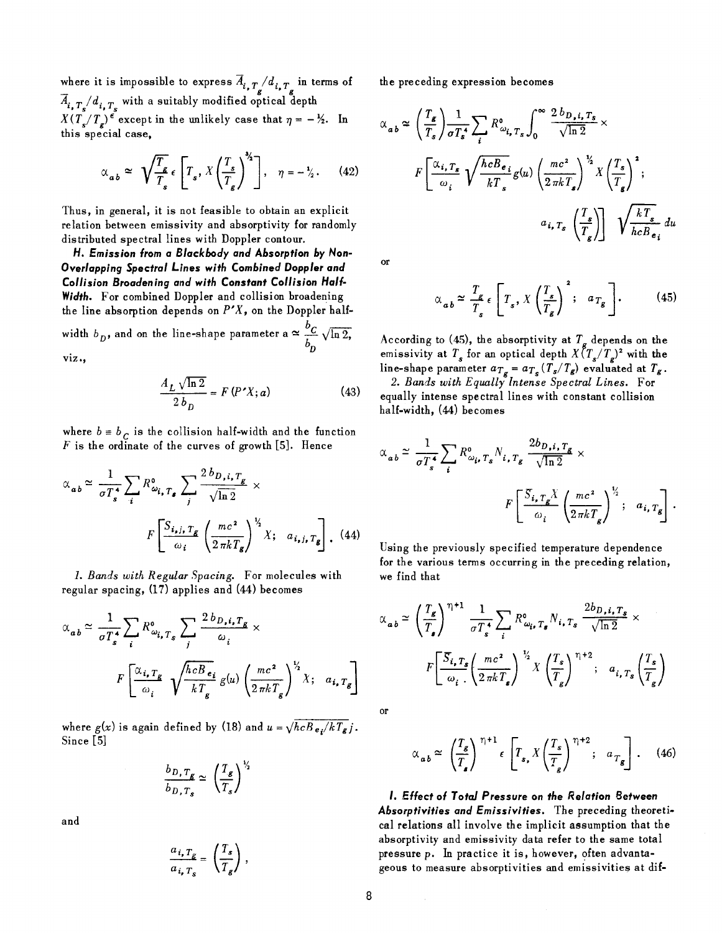where it is impossible to express  $\overline{A}_{i, T_{\sigma}}/d_{i, T_{\sigma}}$  in terms of  $\overline{A}_{i, T}$  /  $d_{i, T}$  with a suitably modified optical depth

 $X(T_s/T_s)$ <sup>e</sup> except in the unlikely case that  $\eta = -\frac{1}{2}$ . In this special case,

$$
\alpha_{ab} \simeq \sqrt{\frac{T_s}{T_s}} \epsilon \left[ T_s, X \left( \frac{T_s}{T_g} \right)^{3/2} \right], \quad \eta = -\frac{1}{2}. \tag{42}
$$

Thus, in general, it is not feasible to obtain an explicit relation between emissivity and absorptivity for randomly distributed spectral lines with Doppler contour.

*H. Emission from a Blackbody and Absorption by Non-Overlapping Spectral Lines with Combined Doppler and Col/ision Broadening and with Constant Collision Half-Width.* For combined Doppler and collision broadening the line absorption depends on  $P'X$ , on the Doppler halfwidth  $b_D$ , and on the line-shape parameter a  $\approx \frac{b_C}{b_D} \sqrt{\ln 2}$ ,

viz.,

$$
\frac{A_L \sqrt{\ln 2}}{2 b_D} = F(P'X; a)
$$
 (43)

where  $b = b_c$  is the collision half-width and the function  $F$  is the ordinate of the curves of growth [5]. Hence

$$
\alpha_{ab} \simeq \frac{1}{\sigma T_s^4} \sum_i R_{\omega_{i, T_g}}^6 \sum_j \frac{2 b_{D,i, T_g}}{\sqrt{\ln 2}} \times
$$
  

$$
F \left[ \frac{S_{i,j, T_g}}{\omega_i} \left( \frac{mc^2}{2 \pi k T_g} \right)^{1/2} X; \quad a_{i,j, T_g} \right].
$$
 (44)

1. *Bands with Regular Spacing.* For molecules with regular spacing, (17) applies and (44) becomes

$$
\alpha_{ab} \simeq \frac{1}{\sigma T_s^4} \sum_i R_{\omega_{i,T_s}}^6 \sum_j \frac{2 b_{D,i,T_g}}{\omega_i} \times
$$
  

$$
F \left[ \frac{\alpha_{i,T_g}}{\omega_i} \sqrt{\frac{hcB_{e_i}}{kT_g}} g(u) \left( \frac{mc^2}{2 \pi k T_g} \right)^{\frac{1}{2}} X; a_{i,T_g} \right]
$$

where  $g(x)$  is again defined by (18) and  $u = \sqrt{hcB_{e}/kT_g}j$ . Since [5]

$$
\frac{b_{D,T_g}}{b_{D,T_s}} \simeq \left(\frac{T_g}{T_s}\right)^{\frac{1}{2}}
$$

and

$$
\frac{a_{i, T_g}}{a_{i, T_s}} = \left(\frac{T_s}{T_g}\right),
$$

the preceding expression becomes

$$
\alpha_{ab} \simeq \left(\frac{T_g}{T_s}\right) \frac{1}{\sigma T_s^4} \sum_i R^{\circ}_{\omega_{i, T_s}} \int_0^{\infty} \frac{2 b_{D, i, T_s}}{\sqrt{\ln 2}} \times
$$
  

$$
F\left[\frac{\alpha_{i, T_s}}{\omega_i} \sqrt{\frac{hcB_{e_i}}{kT_s}} g(u) \left(\frac{mc^2}{2 \pi kT_s}\right)^{\frac{1}{2}} X \left(\frac{T_s}{T_g}\right)^2; \right]
$$
  

$$
a_{i, T_s} \left(\frac{T_s}{T_s}\right) \sqrt{\frac{kT_s}{hcB_{e_i}}} du
$$

or

$$
\alpha_{ab} \approx \frac{T_g}{T_s} \epsilon \left[ T_s, X \left( \frac{T_s}{T_g} \right)^2; a_{T_g} \right].
$$
 (45)

According to (45), the absorptivity at  $T<sub>\sigma</sub>$  depends on the emissivity at  $T_s$  for an optical depth  $X(\frac{r_s}{T_s})^2$  with the line-shape parameter  $a_{T_g} = a_{T_s} (T_s/T_g)$  evaluated at  $T_g$ .

*2. Bands with Equally Intense Spectral Lines.* For equally intense spectral lines with constant collision half-width, (44) becomes

$$
\alpha_{ab} \simeq \frac{1}{\sigma T_s^4} \sum_i R_{\omega_{i}, T_s}^0 N_{i, T_g} \frac{2b_{D,i, T_g}}{\sqrt{\ln 2}} \times
$$
  

$$
F \left[ \frac{S_{i, T_g} X}{\omega_i} \left( \frac{mc^2}{2 \pi k T_g} \right)^{\frac{1}{2}}; a_{i, T_g} \right].
$$

Using the previously specified temperature dependence for the various terms occurring in the preceding relation, we find that

$$
\alpha_{ab} \simeq \left(\frac{T_g}{T_s}\right)^{\eta+1} \frac{1}{\sigma T_s^4} \sum_i R^{\text{o}}_{\omega_i, T_g} N_{i, T_s} \frac{2b_{D,i, T_s}}{\sqrt{\ln 2}} \times
$$

$$
F\left[\frac{S_{i, T_s}}{\omega_i} \left(\frac{mc^2}{2\pi k T_s}\right)^{\frac{1}{2}} X \left(\frac{T_s}{T_g}\right)^{\eta+2}; \quad a_{i, T_s} \left(\frac{T_s}{T_g}\right)
$$

or

$$
\alpha_{ab} \approx \left(\frac{T_s}{T_s}\right)^{\eta+1} \epsilon \left[T_s X \left(\frac{T_s}{T_s}\right)^{\eta+2}; a_{T_g}\right]. \quad (46)
$$

*I.* Effect of *Total* Pressure on *the Relation* Between *Absorpfivities and Emissivities.* The preceding theoretical relations all involve the implicit assumption that the absorptivity and emissivity data refer to the same total pressure p. In practice it is, however, often advantageous to measure absorptivities and emissivities at dif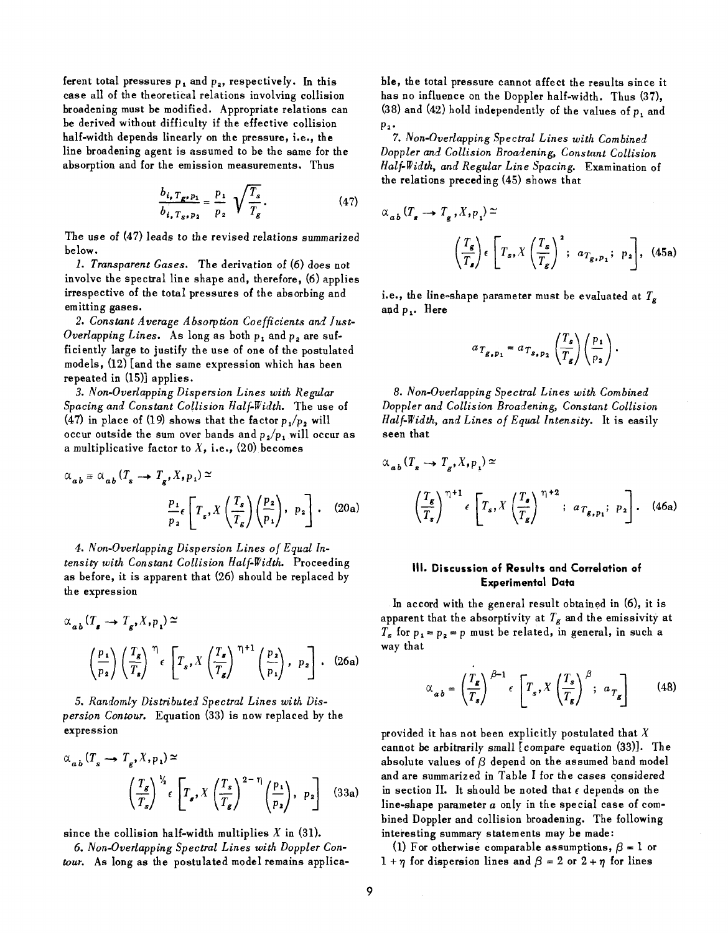ferent total pressures  $p_1$  and  $p_2$ , respectively. In this case all of the theoretical relations involving collision broadening must be modified. Appropriate relations can be derived without difficulty if the effective collision half-width depends linearly on the pressure, i.e., the line broadening agent is assumed to be the same for the absorption and for the emission measurements. Thus

$$
\frac{b_{i_{\bullet}} T_{g_{\bullet} p_1}}{b_{i_{\bullet}} T_{g_{\bullet} p_2}} = \frac{p_1}{p_2} \sqrt{\frac{T_s}{T_g}}.
$$
 (47)

The use of (47) leads to the revised relations summarized below.

*1. Transparent Gases.* The derivation of (6) does not involve the spectral line shape and, therefore, (6) applies irrespective of the total pressures of the absorbing and emitting gases.

*2. Constant Average Absorption Coefficients and Just-Overlapping Lines.* As long as both  $p_1$  and  $p_2$  are sufficiently large to justify the use of one of the postulated models, (12) [and the same expression which has been repeated in (15)] applies.

*3. Non-Overlapping Dispersion Lines with Regular Spacing and Constant Collision Half-Width.* The use of (47) in place of (19) shows that the factor  $p_1/p_2$  will occur outside the sum over bands and  $p_2/p_1$  will occur as a multiplicative factor to  $X$ , i.e., (20) becomes

$$
\alpha_{ab} \equiv \alpha_{ab} (T_s \to T_g, X, p_1) \simeq
$$

$$
\frac{p_1}{p_2} \left[ T_s, X \left( \frac{T_s}{T_g} \right) \left( \frac{p_2}{p_1} \right), p_2 \right].
$$
 (20a)

*4. Non-Overlapping Dispersion Lines of Equal Intensity with Constant Collision Half-Width.* Proceeding as before, it is apparent that (26) should be replaced by the expression

$$
\alpha_{ab} (T_s \to T_g, X, p_1) \simeq
$$
\n
$$
\left(\frac{p_1}{p_2}\right) \left(\frac{T_g}{T_s}\right)^{\eta} \epsilon \left[T_s, X \left(\frac{T_s}{T_g}\right)^{\eta+1} \left(\frac{p_2}{p_1}\right), p_2\right].
$$
\n(26a)

*5. Randomly Distributed Spectral Lines with Dispersion Contour.* Equation (33) is now replaced by the expression

$$
\alpha_{a,b} (T_s \to T_g, X, p_1) \simeq
$$
  

$$
\left(\frac{T_g}{T_s}\right)^{\frac{1}{2}} \epsilon \left[T_g, X \left(\frac{T_s}{T_g}\right)^{2-\eta} \left(\frac{p_1}{p_2}\right), p_2\right]
$$
 (33a)

since the collision half-width multiplies *X* in (31).

*6. Non-Overlapping Spectral Lines with Doppler Contour.* As long as the postulated model remains applicable, the total pressure cannot affect the results since it has no influence on the Doppler half-width. Thus (37), (38) and (42) hold independently of the values of  $p_1$  and  $p<sub>2</sub>$ .

*7. Non-Overlapping Spectral Lines with Combined Doppler and Collision Broadening, Constant Collision Half-Width, and Regular Line Spacing.* Examination of the relations preceding (45) shows that

$$
\alpha_{ab} (T_s \to T_g, X, p_1) \simeq
$$
\n
$$
\left(\frac{T_g}{T_s}\right) \epsilon \left[T_s, X \left(\frac{T_s}{T_g}\right)^2; a_{T_g, p_1}; p_2\right], (45a)
$$

i.e., the line~shape parameter must he evaluated at *Tg*  and  $p_1$ . Here

$$
a_{T_{g,p_1}} = a_{T_{s,p_2}} \left(\frac{T_s}{T_g}\right) \left(\frac{p_1}{p_2}\right)
$$

*8. Non-Overlapping Spectral Lines with Combined Doppler and Collision Broadening, Constant Collision Half-Width, and Lines of Equal Intensity.* It is easily seen that

$$
\alpha_{ab} (T_s \to T_g, X, p_1) \simeq
$$
\n
$$
\left(\frac{T_g}{T_s}\right)^{\eta+1} \epsilon \left[T_s, X \left(\frac{T_s}{T_g}\right)^{\eta+2}; a_{T_{g, p_1}}; p_2\right]. \quad (46a)
$$

# III. Discussion of Results and Correlation of Experimental Data

In accord with the general result obtained in (6), it is apparent that the absorptivity at *Tg* and the emissivity at  $T_s$  for  $p_1 = p_2 = p$  must be related, in general, in such a way that

$$
\alpha_{ab} = \left(\frac{T_g}{T_s}\right)^{\beta - 1} \epsilon \left[T_s, X \left(\frac{T_s}{T_g}\right)^{\beta}; a_{T_g}\right]
$$
 (48)

provided it has not been explicitly postulated that  $X$ cannot be arbitrarily small [compare equation (33)]. The absolute values of  $\beta$  depend on the assumed band model and are summarized in Table I for the cases considered in section II. It should be noted that  $\epsilon$  depends on the line-shape parameter  $a$  only in the special case of combined Doppler and collision broadening. The following interesting summary statements may be made:

(1) For otherwise comparable assumptions,  $\beta = 1$  or  $1 + \eta$  for dispersion lines and  $\beta = 2$  or  $2 + \eta$  for lines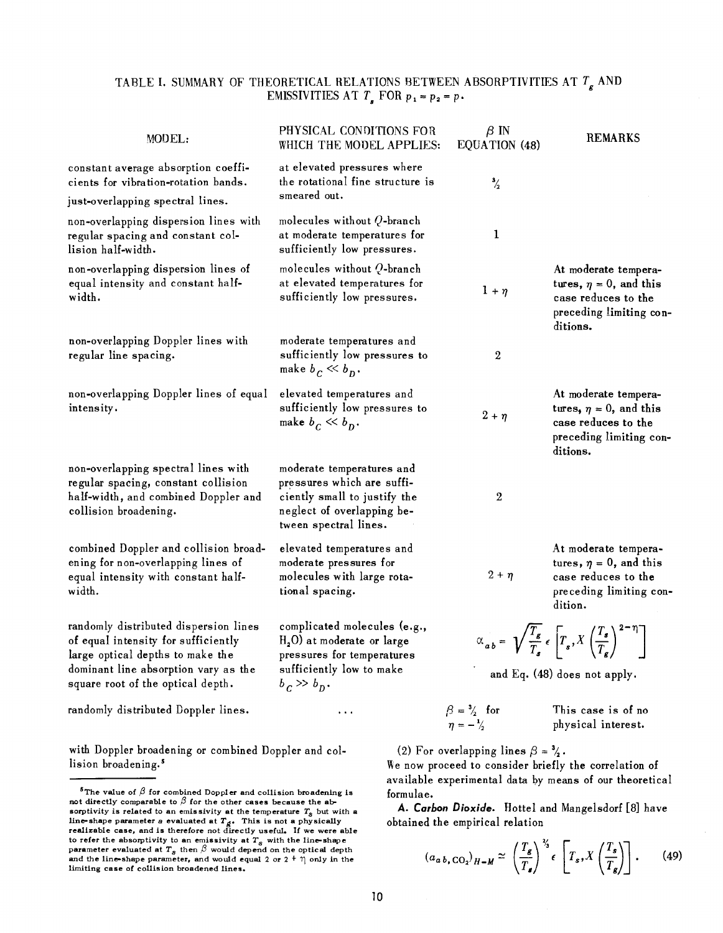# TABLE I. SUMMARY OF THEORETICAL RELATIONS BETWEEN ABSORPTIVITIES AT *Tg* AND EMISSIVITIES AT  $T_s$  FOR  $p_1 = p_2 = p_3$ .

| MODEL:                                                                                                                                                                                        | PHYSICAL CONDITIONS FOR<br>WHICH THE MODEL APPLIES:                                                                                            | $\beta$ IN<br>EQUATION (48)                        | <b>REMARKS</b>                                                                                                                               |
|-----------------------------------------------------------------------------------------------------------------------------------------------------------------------------------------------|------------------------------------------------------------------------------------------------------------------------------------------------|----------------------------------------------------|----------------------------------------------------------------------------------------------------------------------------------------------|
| constant average absorption coeffi-<br>cients for vibration-rotation bands.<br>just-overlapping spectral lines.                                                                               | at elevated pressures where<br>the rotational fine structure is<br>smeared out.                                                                | $\frac{3}{2}$                                      |                                                                                                                                              |
| non-overlapping dispersion lines with<br>regular spacing and constant col-<br>lision half-width.                                                                                              | molecules without $Q$ -branch<br>at moderate temperatures for<br>sufficiently low pressures.                                                   | 1                                                  |                                                                                                                                              |
| non-overlapping dispersion lines of<br>equal intensity and constant half-<br>width.                                                                                                           | molecules without Q-branch<br>at elevated temperatures for<br>sufficiently low pressures.                                                      | $1 + \eta$                                         | At moderate tempera-<br>tures, $\eta = 0$ , and this<br>case reduces to the<br>preceding limiting con-<br>ditions.                           |
| non-overlapping Doppler lines with<br>regular line spacing.                                                                                                                                   | moderate temperatures and<br>sufficiently low pressures to<br>make $b_C \ll b_D$ .                                                             | $\boldsymbol{2}$                                   |                                                                                                                                              |
| non-overlapping Doppler lines of equal<br>intensity.                                                                                                                                          | elevated temperatures and<br>sufficiently low pressures to<br>make $b_C \ll b_D$ .                                                             | $2 + \eta$                                         | At moderate tempera-<br>tures, $\eta = 0$ , and this<br>case reduces to the<br>preceding limiting con-<br>ditions.                           |
| non-overlapping spectral lines with<br>regular spacing, constant collision<br>half-width, and combined Doppler and<br>collision broadening.                                                   | moderate temperatures and<br>pressures which are suffi-<br>ciently small to justify the<br>neglect of overlapping be-<br>tween spectral lines. | $\sqrt{2}$                                         |                                                                                                                                              |
| combined Doppler and collision broad-<br>ening for non-overlapping lines of<br>equal intensity with constant half-<br>width.                                                                  | elevated temperatures and<br>moderate pressures for<br>molecules with large rota-<br>tional spacing.                                           | $2 + \eta$                                         | At moderate tempera-<br>tures, $\eta = 0$ , and this<br>case reduces to the<br>preceding limiting con-<br>dition.                            |
| randomly distributed dispersion lines<br>of equal intensity for sufficiently<br>large optical depths to make the<br>dominant line absorption vary as the<br>square root of the optical depth. | complicated molecules (e.g.,<br>$H2O$ at moderate or large<br>pressures for temperatures<br>sufficiently low to make<br>$b_c \gg b_p$ .        |                                                    | $\alpha_{ab} = \sqrt{\frac{T_g}{T_s}} \epsilon \left[ T_s X \left( \frac{T_s}{T_a} \right)^{2-\eta} \right]$<br>and Eq. (48) does not apply. |
| randomly distributed Doppler lines.                                                                                                                                                           | $\cdots$                                                                                                                                       | $\beta = \frac{3}{2}$ for<br>$\eta = -\frac{1}{2}$ | This case is of no<br>physical interest.                                                                                                     |

with Doppler broadening or combined Doppler and collision broadening.<sup>5</sup>

(2) For overlapping lines  $\beta = \frac{3}{4}$ .

We now proceed to consider briefly the correlation of available experimental data by means of our theoretical formulae.

A. *Carbon Dioxide.* Hottel and Mangelsdorf [8] have obtained the empirical relation

$$
(a_{a,b,\text{CO}_2})_{H-M} \approx \left(\frac{T_g}{T_g}\right)^{\frac{\gamma_s}{\gamma}} \epsilon \left[T_s, X\left(\frac{T_s}{T_g}\right)\right].
$$
 (49)

<sup>&</sup>lt;sup>5</sup>The value of  $\beta$  for combined Doppler and collision broadening is not directly comparable to  $\beta$  for the other cases because the absorptivity is related to an emissivity at the temperature  $T_s$  but with a line-shape parameter *a* evaluated at  $T_{\rm g}$ . This is not a physically **realizable case, and is therefore** not directly useful. If we were able to refer the absorptivity to an emissivity at  $T_s$  with the line-shape parameter evaluated at  $T_s$  then  $\beta$  would depend on the optical depth and the line-shape parameter, and would equal 2 or 2 <sup>+</sup>  $\eta$  only in the limiting case of collision broadened lines.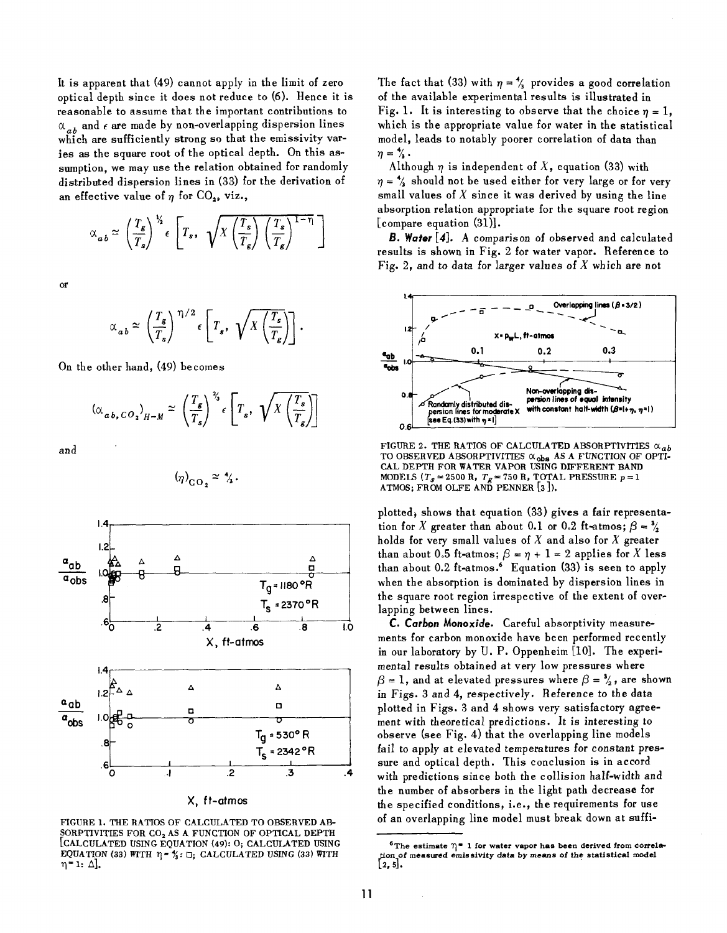It is apparent that (49) cannot apply in the limit of zero optical depth since it does not reduce to (6). Hence it is reasonable to assume that the important contributions to  $\alpha_{ab}$  and  $\epsilon$  are made by non-overlapping dispersion lines which are sufficiently strong so that the emissivity varies as the square root of the optical depth. On this assumption, we may use the relation obtained for randomly distributed dispersion lines in (33) for the derivation of an effective value of  $\eta$  for CO<sub>2</sub>, viz.,

$$
\alpha_{ab} \simeq \left(\frac{T_s}{T_s}\right)^{\frac{V_s}{2}} \epsilon \left[T_s, \sqrt{X\left(\frac{T_s}{T_g}\right)\left(\frac{T_s}{T_g}\right)^{1-\eta}}\right]
$$

or

$$
\alpha_{ab} \simeq \left(\frac{T_g}{T_s}\right)^{\eta/2} \epsilon \left[T_s, \sqrt{X\left(\frac{T_s}{T_g}\right)}\right].
$$

On the other hand, (49) becomes

$$
(\alpha_{ab, CO_2}|_{H-M} \simeq \left(\frac{T_g}{T_s}\right)^{\frac{\gamma_s}{\gamma}} \epsilon \left[T_s, \sqrt{X\left(\frac{T_s}{T_g}\right)}\right]
$$

and

$$
(\eta)_{\rm CO_2} \simeq \gamma_3.
$$



X, ft-atmos

FIGURE 1. THE RATIOS OF CALCULATED TO OBSERVED AB-SORPTIVITIES FOR CO<sub>2</sub> AS A FUNCTION OF OPTICAL DEPTH [CALCULATED USING EQUATION (49): 0; CALCULATED USING EQUATION (33) WITH  $\eta = \frac{\gamma}{4}$ :  $\Box$ ; CALCULATED USING (33) WITH  $\eta$ = 1:  $\Delta$ ].

The fact that (33) with  $\eta = \frac{4}{3}$  provides a good correlation of the available experimental results is illustrated in Fig. 1. It is interesting to observe that the choice  $n = 1$ . which is the appropriate value for water in the statistical model, leads to notably poorer correlation of data than  $\eta = \frac{4}{3}$ .<br>Although  $\eta$  is independent of X, equation (33) with

 $\eta = \frac{4}{3}$  should not be used either for very large or for very small values of  $X$  since it was derived by using the line absorption relation appropriate for the square root region [compare equation (31)].

*B. Water* [4]. A comparison of observed and calculated results is shown in Fig. 2 for water vapor. Reference to Fig. 2, and to data for larger values of *X* which are not



FIGURE 2. THE RATIOS OF CALCULATED ABSORPTIVITIES  $\alpha_{ab}$ TO OBSERVED ABSORPTIVITIES  $\alpha_{\rm obs}$  AS a function of opti-CAL DEPTH FOR WATER VAPOR USING DIFFERENT BAND MODELS ( $T_s = 2500 \text{ R}$ ,  $T_g = 750 \text{ R}$ , TOTAL PRESSURE  $p = 1$ ATMOS; FROM OLFE AND PENNER [3 ]).

plotted, shows that equation (33) gives a fair representation for X greater than about 0.1 or 0.2 ft-atmos;  $\beta = \frac{3}{4}$ holds for very small values of  $X$  and also for  $X$  greater than about 0.5 ft-atmos;  $\beta = \eta + 1 = 2$  applies for X less than about  $0.2$  ft-atmos.<sup>6</sup> Equation  $(33)$  is seen to apply when the absorption is dominated by dispersion lines in the square root region irrespective of the extent of overlapping between lines.

C. *Carbon* Monoxide. Careful absorptivity measurements for carbon monoxide have been performed recently in our laboratory by U. P. Oppenheim [10]. The experimental results obtained at very low pressures where  $\beta = 1$ , and at elevated pressures where  $\beta = \frac{3}{4}$ , are shown in Figs. 3 and 4, respectively. Reference to the data plotted in Figs. 3 and 4 shows very satisfactory agreement with theoretical predictions. It is interesting to observe (see Fig. 4) that the overlapping line models fail to apply at elevated temperatures for constant pressure and optical depth. This conclusion is in accord with predictions since both the collision half-width and the number of absorbers in the light path decrease for the specified conditions, i.e., the requirements for use of an overlapping line model must break down at suffi-

<sup>&</sup>lt;sup>6</sup>The estimate  $\eta$ <sup>=</sup> 1 for water vapor has been derived from correlation of measured emissivity data by means of the statistical model  $[2,5]$ .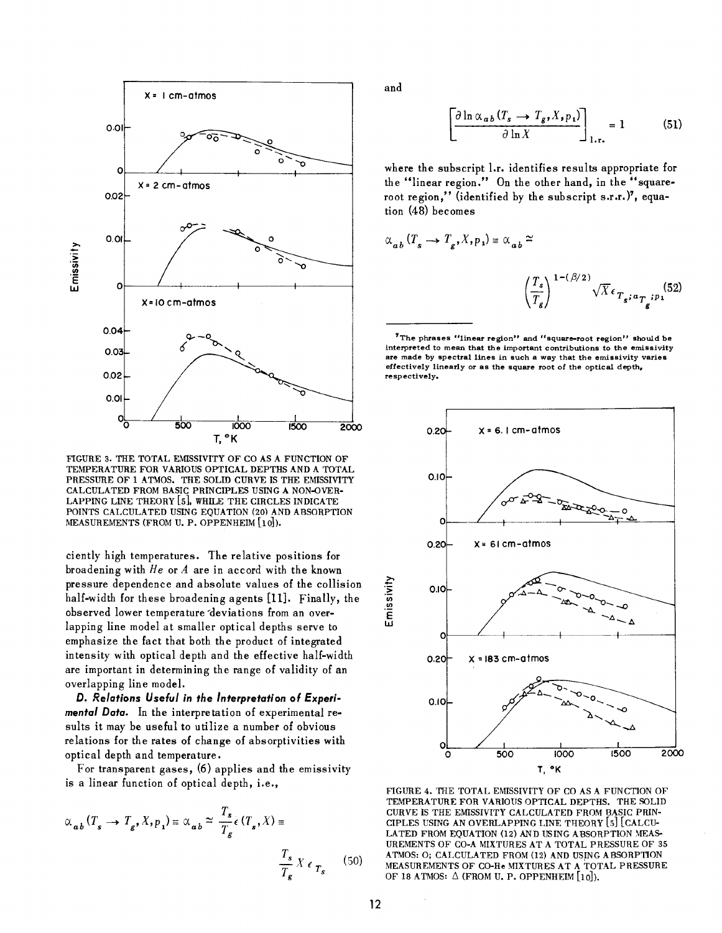

FlGURE 3. THE TOTAL EMISSIVITY OF CO AS A FUNCTION OF TEMPERATURE FOR VARIOUS OPTICAL DEPTHS AND A TOTAL PRESSURE OF 1 ATMOS. THE SOLID CURVE IS THE EMISSIVITY CALCULATED FROM BASIC PRINCIPLES USING A NON-QVER-LAPPING LINE THEORY [5], WHILE THE CIRCLES INDICATE POINTS CALCULATED USING EQUATION (20) AND ABSORPTION MEASUREMENTS (FROM U. P. OPPENHEIM [10]).

ciently high temperatures. The relative positions for broadening with  $He$  or  $A$  are in accord with the known pressure dependence and absolute values of the collision half-width for these broadening agents [11]. Finally, the observed lower temperature 'devia tions from an overlapping line model at smaller optical depths serve to emphasize the fact that both the product of integrated intensity with optical depth and the effective half-width are important in determining the range of validity of an overlapping line model.

*D. Relations Useful* **in** *the Interpretation* **of** *Experimental Data.* In the interpretation of experimental results it may be useful to utilize a number of obvious relations for the rates of change of absorptivities with optical depth and temperature.

For transparent gases, (6) applies and the emissivity is a linear function of optical depth, i.e.,

$$
\alpha_{ab} (T_s \to T_g, X, p_1) \equiv \alpha_{ab} \simeq \frac{T_s}{T_g} \epsilon (T_s, X) \equiv \frac{T_s}{T_g} X \epsilon_{T_s}
$$
 (50)

and

$$
\left[\frac{\partial \ln \alpha_{ab} (T_s \to T_g, X, p_1)}{\partial \ln X}\right]_{1.r.} = 1 \tag{51}
$$

where the subscript l.r. identifies results appropriate for the "linear region." On the other hand, in the "squareroot region," (identified by the subscript s.r.r.)7, equation (48) becomes

$$
\alpha_{ab} (T_s \to T_g, X, p_1) = \alpha_{ab} \approx
$$
\n
$$
\left(\frac{T_s}{T_g}\right)^{1 - (\beta/2)} \sqrt{X} \epsilon_{T_g; a_{\overline{T}_g}; p_1} (52)
$$

**'The phrases "linear region" and "square-root region" should be**  interpreted to mean that the important contributions to the emissivity are made by spectral lines in such a way that the emissivity varies effectively linearly or as the square root of the optical depth, **respectively.**